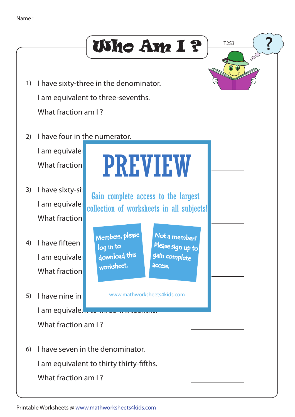